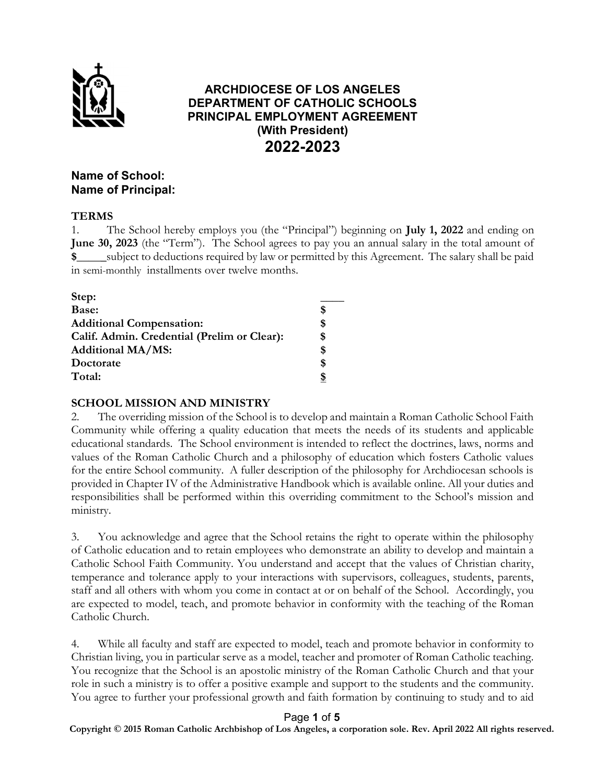

# ARCHDIOCESE OF LOS ANGELES DEPARTMENT OF CATHOLIC SCHOOLS PRINCIPAL EMPLOYMENT AGREEMENT (With President) 2022-2023

## Name of School: Name of Principal:

### TERMS

1. The School hereby employs you (the "Principal") beginning on July 1, 2022 and ending on June 30, 2023 (the "Term"). The School agrees to pay you an annual salary in the total amount of \$\_\_\_\_\_subject to deductions required by law or permitted by this Agreement. The salary shall be paid in semi-monthly installments over twelve months.

| Step:                                       |    |
|---------------------------------------------|----|
| Base:                                       | S  |
| <b>Additional Compensation:</b>             | \$ |
| Calif. Admin. Credential (Prelim or Clear): | \$ |
| <b>Additional MA/MS:</b>                    | \$ |
| Doctorate                                   | \$ |
| Total:                                      |    |

## SCHOOL MISSION AND MINISTRY

2. The overriding mission of the School is to develop and maintain a Roman Catholic School Faith Community while offering a quality education that meets the needs of its students and applicable educational standards. The School environment is intended to reflect the doctrines, laws, norms and values of the Roman Catholic Church and a philosophy of education which fosters Catholic values for the entire School community. A fuller description of the philosophy for Archdiocesan schools is provided in Chapter IV of the Administrative Handbook which is available online. All your duties and responsibilities shall be performed within this overriding commitment to the School's mission and ministry.

3. You acknowledge and agree that the School retains the right to operate within the philosophy of Catholic education and to retain employees who demonstrate an ability to develop and maintain a Catholic School Faith Community. You understand and accept that the values of Christian charity, temperance and tolerance apply to your interactions with supervisors, colleagues, students, parents, staff and all others with whom you come in contact at or on behalf of the School. Accordingly, you are expected to model, teach, and promote behavior in conformity with the teaching of the Roman Catholic Church.

4. While all faculty and staff are expected to model, teach and promote behavior in conformity to Christian living, you in particular serve as a model, teacher and promoter of Roman Catholic teaching. You recognize that the School is an apostolic ministry of the Roman Catholic Church and that your role in such a ministry is to offer a positive example and support to the students and the community. You agree to further your professional growth and faith formation by continuing to study and to aid

#### Page 1 of 5

Copyright © 2015 Roman Catholic Archbishop of Los Angeles, a corporation sole. Rev. **April 2022** All rights reserved.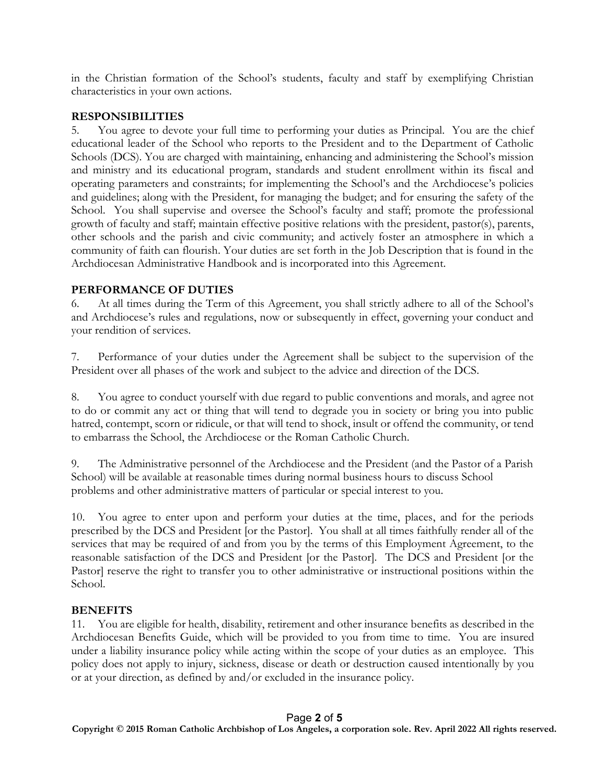in the Christian formation of the School's students, faculty and staff by exemplifying Christian characteristics in your own actions.

### RESPONSIBILITIES

5. You agree to devote your full time to performing your duties as Principal. You are the chief educational leader of the School who reports to the President and to the Department of Catholic Schools (DCS). You are charged with maintaining, enhancing and administering the School's mission and ministry and its educational program, standards and student enrollment within its fiscal and operating parameters and constraints; for implementing the School's and the Archdiocese's policies and guidelines; along with the President, for managing the budget; and for ensuring the safety of the School. You shall supervise and oversee the School's faculty and staff; promote the professional growth of faculty and staff; maintain effective positive relations with the president, pastor(s), parents, other schools and the parish and civic community; and actively foster an atmosphere in which a community of faith can flourish. Your duties are set forth in the Job Description that is found in the Archdiocesan Administrative Handbook and is incorporated into this Agreement.

### PERFORMANCE OF DUTIES

6. At all times during the Term of this Agreement, you shall strictly adhere to all of the School's and Archdiocese's rules and regulations, now or subsequently in effect, governing your conduct and your rendition of services.

7. Performance of your duties under the Agreement shall be subject to the supervision of the President over all phases of the work and subject to the advice and direction of the DCS.

8. You agree to conduct yourself with due regard to public conventions and morals, and agree not to do or commit any act or thing that will tend to degrade you in society or bring you into public hatred, contempt, scorn or ridicule, or that will tend to shock, insult or offend the community, or tend to embarrass the School, the Archdiocese or the Roman Catholic Church.

9. The Administrative personnel of the Archdiocese and the President (and the Pastor of a Parish School) will be available at reasonable times during normal business hours to discuss School problems and other administrative matters of particular or special interest to you.

10. You agree to enter upon and perform your duties at the time, places, and for the periods prescribed by the DCS and President [or the Pastor]. You shall at all times faithfully render all of the services that may be required of and from you by the terms of this Employment Agreement, to the reasonable satisfaction of the DCS and President [or the Pastor]. The DCS and President [or the Pastor] reserve the right to transfer you to other administrative or instructional positions within the School.

## **BENEFITS**

11. You are eligible for health, disability, retirement and other insurance benefits as described in the Archdiocesan Benefits Guide, which will be provided to you from time to time. You are insured under a liability insurance policy while acting within the scope of your duties as an employee. This policy does not apply to injury, sickness, disease or death or destruction caused intentionally by you or at your direction, as defined by and/or excluded in the insurance policy.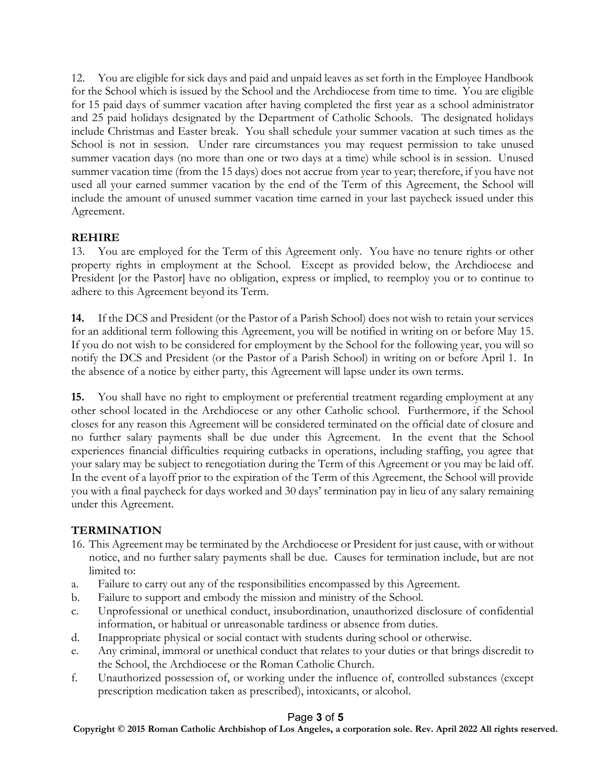12. You are eligible for sick days and paid and unpaid leaves as set forth in the Employee Handbook for the School which is issued by the School and the Archdiocese from time to time. You are eligible for 15 paid days of summer vacation after having completed the first year as a school administrator and 25 paid holidays designated by the Department of Catholic Schools. The designated holidays include Christmas and Easter break. You shall schedule your summer vacation at such times as the School is not in session. Under rare circumstances you may request permission to take unused summer vacation days (no more than one or two days at a time) while school is in session. Unused summer vacation time (from the 15 days) does not accrue from year to year; therefore, if you have not used all your earned summer vacation by the end of the Term of this Agreement, the School will include the amount of unused summer vacation time earned in your last paycheck issued under this Agreement.

## REHIRE

13. You are employed for the Term of this Agreement only. You have no tenure rights or other property rights in employment at the School. Except as provided below, the Archdiocese and President [or the Pastor] have no obligation, express or implied, to reemploy you or to continue to adhere to this Agreement beyond its Term.

14. If the DCS and President (or the Pastor of a Parish School) does not wish to retain your services for an additional term following this Agreement, you will be notified in writing on or before May 15. If you do not wish to be considered for employment by the School for the following year, you will so notify the DCS and President (or the Pastor of a Parish School) in writing on or before April 1. In the absence of a notice by either party, this Agreement will lapse under its own terms.

15. You shall have no right to employment or preferential treatment regarding employment at any other school located in the Archdiocese or any other Catholic school. Furthermore, if the School closes for any reason this Agreement will be considered terminated on the official date of closure and no further salary payments shall be due under this Agreement. In the event that the School experiences financial difficulties requiring cutbacks in operations, including staffing, you agree that your salary may be subject to renegotiation during the Term of this Agreement or you may be laid off. In the event of a layoff prior to the expiration of the Term of this Agreement, the School will provide you with a final paycheck for days worked and 30 days' termination pay in lieu of any salary remaining under this Agreement.

## TERMINATION

- 16. This Agreement may be terminated by the Archdiocese or President for just cause, with or without notice, and no further salary payments shall be due. Causes for termination include, but are not limited to:
- a. Failure to carry out any of the responsibilities encompassed by this Agreement.
- b. Failure to support and embody the mission and ministry of the School.
- c. Unprofessional or unethical conduct, insubordination, unauthorized disclosure of confidential information, or habitual or unreasonable tardiness or absence from duties.
- d. Inappropriate physical or social contact with students during school or otherwise.
- e. Any criminal, immoral or unethical conduct that relates to your duties or that brings discredit to the School, the Archdiocese or the Roman Catholic Church.
- f. Unauthorized possession of, or working under the influence of, controlled substances (except prescription medication taken as prescribed), intoxicants, or alcohol.

## Page 3 of 5

Copyright © 2015 Roman Catholic Archbishop of Los Angeles, a corporation sole. Rev. **April 2022** All rights reserved.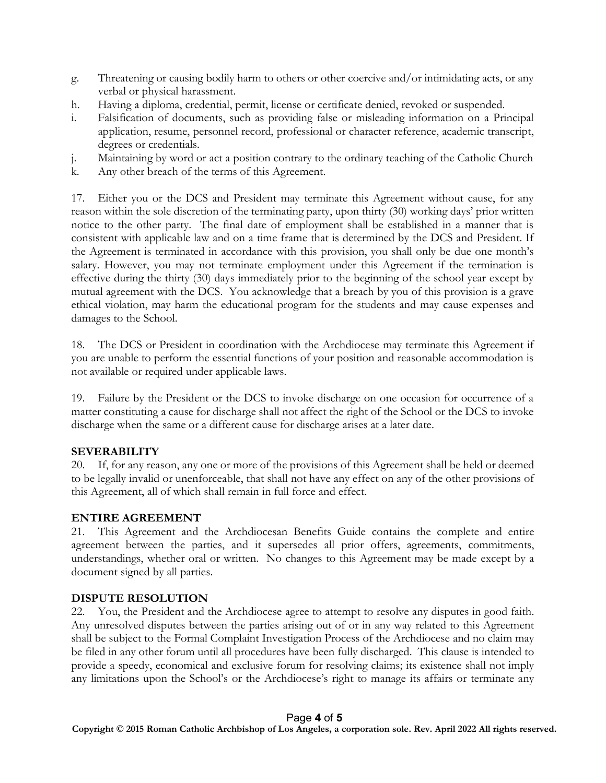- g. Threatening or causing bodily harm to others or other coercive and/or intimidating acts, or any verbal or physical harassment.
- h. Having a diploma, credential, permit, license or certificate denied, revoked or suspended.
- i. Falsification of documents, such as providing false or misleading information on a Principal application, resume, personnel record, professional or character reference, academic transcript, degrees or credentials.
- j. Maintaining by word or act a position contrary to the ordinary teaching of the Catholic Church
- k. Any other breach of the terms of this Agreement.

17. Either you or the DCS and President may terminate this Agreement without cause, for any reason within the sole discretion of the terminating party, upon thirty (30) working days' prior written notice to the other party. The final date of employment shall be established in a manner that is consistent with applicable law and on a time frame that is determined by the DCS and President. If the Agreement is terminated in accordance with this provision, you shall only be due one month's salary. However, you may not terminate employment under this Agreement if the termination is effective during the thirty (30) days immediately prior to the beginning of the school year except by mutual agreement with the DCS. You acknowledge that a breach by you of this provision is a grave ethical violation, may harm the educational program for the students and may cause expenses and damages to the School.

18. The DCS or President in coordination with the Archdiocese may terminate this Agreement if you are unable to perform the essential functions of your position and reasonable accommodation is not available or required under applicable laws.

19. Failure by the President or the DCS to invoke discharge on one occasion for occurrence of a matter constituting a cause for discharge shall not affect the right of the School or the DCS to invoke discharge when the same or a different cause for discharge arises at a later date.

## SEVERABILITY

20. If, for any reason, any one or more of the provisions of this Agreement shall be held or deemed to be legally invalid or unenforceable, that shall not have any effect on any of the other provisions of this Agreement, all of which shall remain in full force and effect.

## ENTIRE AGREEMENT

21. This Agreement and the Archdiocesan Benefits Guide contains the complete and entire agreement between the parties, and it supersedes all prior offers, agreements, commitments, understandings, whether oral or written. No changes to this Agreement may be made except by a document signed by all parties.

## DISPUTE RESOLUTION

22. You, the President and the Archdiocese agree to attempt to resolve any disputes in good faith. Any unresolved disputes between the parties arising out of or in any way related to this Agreement shall be subject to the Formal Complaint Investigation Process of the Archdiocese and no claim may be filed in any other forum until all procedures have been fully discharged. This clause is intended to provide a speedy, economical and exclusive forum for resolving claims; its existence shall not imply any limitations upon the School's or the Archdiocese's right to manage its affairs or terminate any